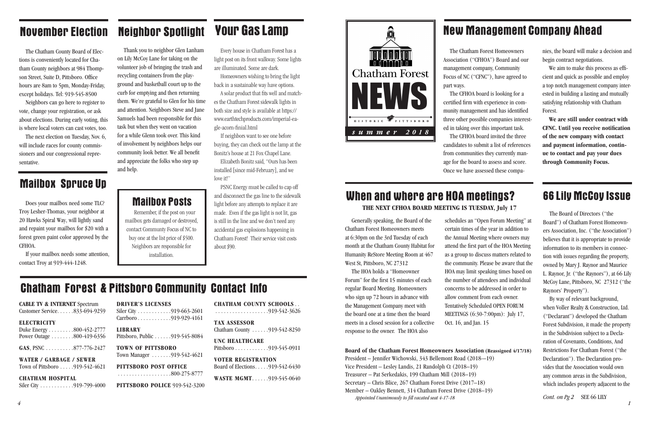#### **CABLE TV & INTERNET** Spectrum

Customer Service. . . . . . 833-694-9259

#### **ELECTRICITY**

Duke Energy . . . . . . . . . 800-452-2777 Power Outage . . . . . . . . 800-419-6356

**GAS**, PSNC . . . . . . . . . . 877-776-2427

**WATER / GARBAGE / SEWER** Town of Pittsboro . . . . . 919-542-4621

Siler City . . . . . . . . . . . . 919-663-2601 Carrboro . . . . . . . . . . . . 919-929-4161 **LIBRARY**

Pittsboro, Public . . . . . . 919-545-8084

**TOWN OF PITTSBORO** Town Manager . . . . . . . 919-542-4621

#### **CHATHAM HOSPITAL**

Siler City . . . . . . . . . . . . . 919-799-4000

#### **DRIVER'S LICENSES**

**TAX ASSESSOR** Chatham County . . . . . . 919-542-8250

**UNC HEALTHCARE** Pittsboro............919-545-0911

**VOTER REGISTRATION** Board of Elections . . . . . 919-542-6430

**WASTE MGMT.** . . . . . . 919-545-0640

**PITTSBORO POST OFFICE**

...................800-275-8777

#### **PITTSBORO POLICE** 919-542-3200

**CHATHAM COUNTY SCHOOLS** .

...................919-542-3626

### Chatham Forest & Pittsboro Community Contact Info



Generally speaking, the Board of the Chatham Forest Homeowners meets at 6:30pm on the 3rd Tuesday of each month at the Chatham County Habitat for Humanity ReStore Meeting Room at 467 West St, Pittsboro, NC 27312

The HOA holds a "Homeowner Forum" for the first 15 minutes of each regular Board Meeting. Homeowners who sign up 72 hours in advance with the Management Company meet with the board one at a time then the board meets in a closed session for a collective response to the owner. The HOA also

schedules an "Open Forum Meeting" at certain times of the year in addition to the Annual Meeting where owners may attend the first part of the HOA Meeting as a group to discuss matters related to the community. Please be aware that the HOA may limit speaking times based on the number of attendees and individual concerns to be addressed in order to allow comment from each owner. Tentatively Scheduled OPEN FORUM MEETINGS (6:30-7:00pm): July 17, Oct. 16, and Jan. 15

**Board of the Chatham Forest Homeowners Association (Reassigned 4/17/18)** President – Jennifer Wichowski, 343 Bellemont Road (2018-–19) Vice President – Lesley Landis, 21 Randolph Ct (2018–19) Treasurer – Pat Serkedakis, 199 Chatham Mill (2018–19) Secretary – Chris Blice, 267 Chatham Forest Drive (2017–18) Member – Oakley Bennett, 314 Chatham Forest Drive (2018–19) *Appointed Unanimously to fill vacated seat 4-17-18*

### When and where are HOA meetings? **THE NEXT CFHOA BOARD MEETING IS TUESDAY, July 17**

### Neighbor Spotlight

Thank you to neighbor Glen Lanham on Lily McCoy Lane for taking on the volunteer job of bringing the trash and recycling containers from the playground and basketball court up to the curb for emptying and then returning them. We're grateful to Glen for his time and attention. Neighbors Steve and Jane Samuels had been responsible for this task but when they went on vacation for a while Glenn took over. This kind of involvement by neighbors helps our community look better. We all benefit and appreciate the folks who step up and help.

### November Election

Elizabeth Bonitz said, "Ours has been installed [since mid-February], and we love it!"

The Chatham County Board of Elections is conveniently located for Chatham County neighbors at 984 Thompson Street, Suite D, Pittsboro. Office hours are 8am to 5pm, Monday-Friday, except holidays. Tel: 919-545-8500

Neighbors can go here to register to vote, change your registration, or ask about elections. During early voting, this is where local voters can cast votes, too.

The next election on Tuesday, Nov. 6, will include races for county commissioners and our congressional representative.

### **Mailbox Spruce Up**

The Chatham Forest Homeowners Association ("CFHOA") Board and our management company, Community Focus of NC ("CFNC"), have agreed to

part ways.

The CFHOA board is looking for a certified firm with experience in community management and has identified three other possible companies interested in taking over this important task. The CFHOA board invited the three candidates to submit a list of references from communities they currently manage for the board to assess and score. Once we have assessed these compa-

nies, the board will make a decision and begin contract negotiations.

We aim to make this process as efficient and quick as possible and employ a top notch management company interested in building a lasting and mutually satisfying relationship with Chatham Forest.

**We are still under contract with CFNC. Until you receive notification of the new company with contact and payment information, continue to contact and pay your dues through Community Focus.** 

### Mailbox Posts

Remember, if the post on your mailbox gets damaged or destroyed, contact Communty Focus of NC to buy one at the list price of \$500. Neighbors are responsible for installation.

The Board of Directors ("the Board") of Chatham Forest Homeowners Association, Inc. ("the Association") believes that it is appropriate to provide information to its members in connection with issues regarding the property, owned by Mary J. Raynor and Maurice L. Raynor, Jr. ("the Raynors"), at 66 Lily McCoy Lane, Pittsboro, NC 27312 ("the Raynors' Property").

By way of relevant background, when Voller Realty & Construction, Ltd. ("Declarant") developed the Chatham Forest Subdivision, it made the property in the Subdivision subject to a Declaration of Covenants, Conditions, And Restrictions For Chatham Forest ("the Declaration"). The Declaration provides that the Association would own any common areas in the Subdivision, which includes property adjacent to the

*Cont. on Pg 2* SEE 66 LILY

### New Management Company Ahead

### 66 Lily McCoy Issue

Every house in Chatham Forest has a light post on its front walkway. Some lights are illuminated. Some are dark.

Homeowners wishing to bring the light back in a sustainable way have options.

A solar product that fits well and matches the Chatham Forest sidewalk lights in both size and style is available at https:// www.earthtechproducts.com/imperial-eagle-acorn-finial.html

If neighbors want to see one before buying, they can check out the lamp at the Bonitz's house at 21 Fox Chapel Lane.

PSNC Energy must be called to cap off and disconnect the gas line to the sidewalk light before any attempts to replace it are made. Even if the gas light is not lit, gas is still in the line and we don't need any accidental gas explosions happening in Chatham Forest! Their service visit costs about \$90.

### Your Gas Lamp

Does your mailbox need some TLC? Troy Lesher-Thomas, your neighbor at 20 Hawks Spiral Way, will lightly sand and repaint your mailbox for \$20 with a forest green paint color approved by the CFHOA.

If your mailbox needs some attention, contact Troy at 919-444-1248.